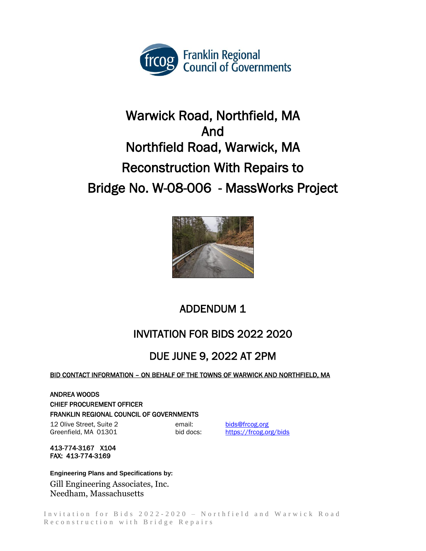

# Warwick Road, Northfield, MA And Northfield Road, Warwick, MA Reconstruction With Repairs to Bridge No. W-08-006 - MassWorks Project



## ADDENDUM 1

## INVITATION FOR BIDS 2022 2020

### DUE JUNE 9, 2022 AT 2PM

#### BID CONTACT INFORMATION – ON BEHALF OF THE TOWNS OF WARWICK AND NORTHFIELD, MA

ANDREA WOODS CHIEF PROCUREMENT OFFICER FRANKLIN REGIONAL COUNCIL OF GOVERNMENTS

12 Olive Street, Suite 2 email: [bids@frcog.org](mailto:bids@frcog.org) Greenfield, MA 01301 bid docs: https://frcog.org/bids

413-774-3167 X104 FAX: 413-774-3169

**Engineering Plans and Specifications by:** Gill Engineering Associates, Inc. Needham, Massachusetts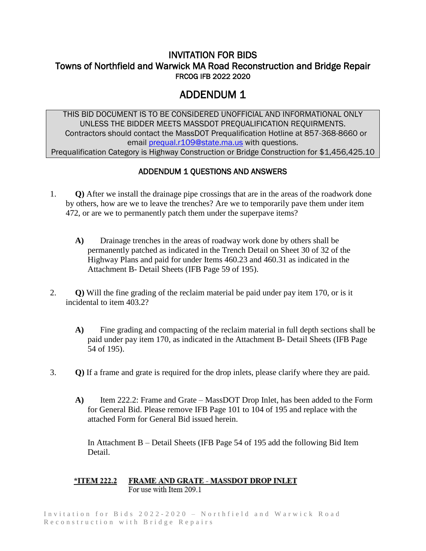#### INVITATION FOR BIDS Towns of Northfield and Warwick MA Road Reconstruction and Bridge Repair FRCOG IFB 2022 2020

#### ADDENDUM 1

THIS BID DOCUMENT IS TO BE CONSIDERED UNOFFICIAL AND INFORMATIONAL ONLY UNLESS THE BIDDER MEETS MASSDOT PREQUALIFICATION REQUIRMENTS. Contractors should contact the MassDOT Prequalification Hotline at 857-368-8660 or email [prequal.r109@state.ma.us](mailto:prequal.r109@state.ma.us) with questions. Prequalification Category is Highway Construction or Bridge Construction for \$1,456,425.10

#### ADDENDUM 1 QUESTIONS AND ANSWERS

- 1. **Q)** After we install the drainage pipe crossings that are in the areas of the roadwork done by others, how are we to leave the trenches? Are we to temporarily pave them under item 472, or are we to permanently patch them under the superpave items?
	- **A)** Drainage trenches in the areas of roadway work done by others shall be permanently patched as indicated in the Trench Detail on Sheet 30 of 32 of the Highway Plans and paid for under Items 460.23 and 460.31 as indicated in the Attachment B- Detail Sheets (IFB Page 59 of 195).
- 2. **Q)** Will the fine grading of the reclaim material be paid under pay item 170, or is it incidental to item 403.2?
	- **A)** Fine grading and compacting of the reclaim material in full depth sections shall be paid under pay item 170, as indicated in the Attachment B- Detail Sheets (IFB Page 54 of 195).
- 3. **Q)** If a frame and grate is required for the drop inlets, please clarify where they are paid.
	- **A)** Item 222.2: Frame and Grate MassDOT Drop Inlet, has been added to the Form for General Bid. Please remove IFB Page 101 to 104 of 195 and replace with the attached Form for General Bid issued herein.

In Attachment B – Detail Sheets (IFB Page 54 of 195 add the following Bid Item Detail.

#### FRAME AND GRATE - MASSDOT DROP INLET \*ITEM 222.2 For use with Item 209.1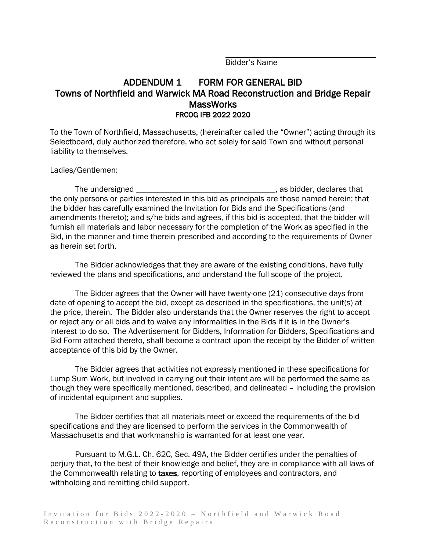Bidder's Name

#### ADDENDUM 1 FORM FOR GENERAL BID Towns of Northfield and Warwick MA Road Reconstruction and Bridge Repair **MassWorks** FRCOG IFB 2022 2020

To the Town of Northfield, Massachusetts, (hereinafter called the "Owner") acting through its Selectboard, duly authorized therefore, who act solely for said Town and without personal liability to themselves.

Ladies/Gentlemen:

The undersigned and the state of the undersigned and the state of the state of the understanding of the understanding of the understanding of the understanding of the unit of the understanding of the unit of the unit of th the only persons or parties interested in this bid as principals are those named herein; that the bidder has carefully examined the Invitation for Bids and the Specifications (and amendments thereto); and s/he bids and agrees, if this bid is accepted, that the bidder will furnish all materials and labor necessary for the completion of the Work as specified in the Bid, in the manner and time therein prescribed and according to the requirements of Owner as herein set forth.

The Bidder acknowledges that they are aware of the existing conditions, have fully reviewed the plans and specifications, and understand the full scope of the project.

The Bidder agrees that the Owner will have twenty-one (21) consecutive days from date of opening to accept the bid, except as described in the specifications, the unit(s) at the price, therein. The Bidder also understands that the Owner reserves the right to accept or reject any or all bids and to waive any informalities in the Bids if it is in the Owner's interest to do so. The Advertisement for Bidders, Information for Bidders, Specifications and Bid Form attached thereto, shall become a contract upon the receipt by the Bidder of written acceptance of this bid by the Owner.

The Bidder agrees that activities not expressly mentioned in these specifications for Lump Sum Work, but involved in carrying out their intent are will be performed the same as though they were specifically mentioned, described, and delineated – including the provision of incidental equipment and supplies.

The Bidder certifies that all materials meet or exceed the requirements of the bid specifications and they are licensed to perform the services in the Commonwealth of Massachusetts and that workmanship is warranted for at least one year.

Pursuant to M.G.L. Ch. 62C, Sec. 49A, the Bidder certifies under the penalties of perjury that, to the best of their knowledge and belief, they are in compliance with all laws of the Commonwealth relating to taxes, reporting of employees and contractors, and withholding and remitting child support.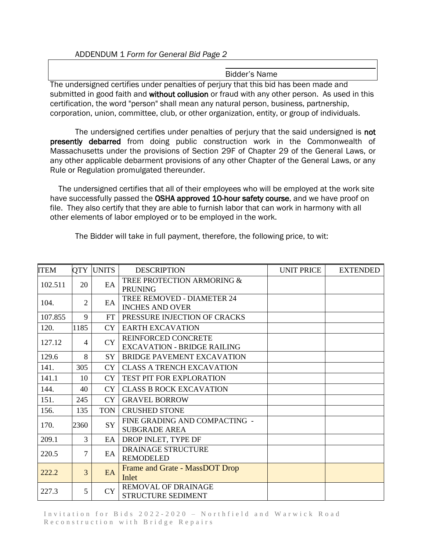#### ADDENDUM 1 *Form for General Bid Page 2*

#### Bidder's Name

The undersigned certifies under penalties of perjury that this bid has been made and submitted in good faith and without collusion or fraud with any other person. As used in this certification, the word "person" shall mean any natural person, business, partnership, corporation, union, committee, club, or other organization, entity, or group of individuals.

The undersigned certifies under penalties of perjury that the said undersigned is not presently debarred from doing public construction work in the Commonwealth of Massachusetts under the provisions of Section 29F of Chapter 29 of the General Laws, or any other applicable debarment provisions of any other Chapter of the General Laws, or any Rule or Regulation promulgated thereunder.

The undersigned certifies that all of their employees who will be employed at the work site have successfully passed the OSHA approved 10-hour safety course, and we have proof on file. They also certify that they are able to furnish labor that can work in harmony with all other elements of labor employed or to be employed in the work.

| <b>ITEM</b> |      | <b>OTY UNITS</b> | <b>DESCRIPTION</b>                                          | <b>UNIT PRICE</b> | <b>EXTENDED</b> |
|-------------|------|------------------|-------------------------------------------------------------|-------------------|-----------------|
| 102.511     | 20   | EA               | TREE PROTECTION ARMORING &<br><b>PRUNING</b>                |                   |                 |
| 104.        | 2    | EA               | <b>TREE REMOVED - DIAMETER 24</b><br><b>INCHES AND OVER</b> |                   |                 |
| 107.855     | 9    | <b>FT</b>        | PRESSURE INJECTION OF CRACKS                                |                   |                 |
| 120.        | 1185 | <b>CY</b>        | <b>EARTH EXCAVATION</b>                                     |                   |                 |
| 127.12      | 4    | <b>CY</b>        | REINFORCED CONCRETE<br><b>EXCAVATION - BRIDGE RAILING</b>   |                   |                 |
| 129.6       | 8    | SY <sup>-</sup>  | <b>BRIDGE PAVEMENT EXCAVATION</b>                           |                   |                 |
| 141.        | 305  | <b>CY</b>        | <b>CLASS A TRENCH EXCAVATION</b>                            |                   |                 |
| 141.1       | 10   | <b>CY</b>        | <b>TEST PIT FOR EXPLORATION</b>                             |                   |                 |
| 144.        | 40   | <b>CY</b>        | <b>CLASS B ROCK EXCAVATION</b>                              |                   |                 |
| 151.        | 245  | CY               | <b>GRAVEL BORROW</b>                                        |                   |                 |
| 156.        | 135  | <b>TON</b>       | <b>CRUSHED STONE</b>                                        |                   |                 |
| 170.        | 2360 | <b>SY</b>        | FINE GRADING AND COMPACTING -<br><b>SUBGRADE AREA</b>       |                   |                 |
| 209.1       | 3    |                  | EA DROP INLET, TYPE DF                                      |                   |                 |
| 220.5       | 7    | EA               | DRAINAGE STRUCTURE<br><b>REMODELED</b>                      |                   |                 |
| 222.2       | 3    | EA               | Frame and Grate - MassDOT Drop<br>Inlet                     |                   |                 |
| 227.3       | 5    | <b>CY</b>        | <b>REMOVAL OF DRAINAGE</b><br>STRUCTURE SEDIMENT            |                   |                 |

The Bidder will take in full payment, therefore, the following price, to wit: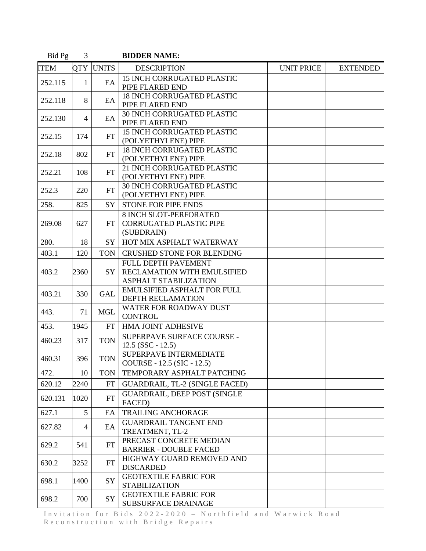| Bid Pg      | 3            |              | <b>BIDDER NAME:</b>                                                           |                   |                 |
|-------------|--------------|--------------|-------------------------------------------------------------------------------|-------------------|-----------------|
| <b>ITEM</b> | <b>QTY</b>   | <b>UNITS</b> | <b>DESCRIPTION</b>                                                            | <b>UNIT PRICE</b> | <b>EXTENDED</b> |
| 252.115     | $\mathbf{1}$ | EA           | <b>15 INCH CORRUGATED PLASTIC</b><br>PIPE FLARED END                          |                   |                 |
| 252.118     | 8            | EA           | <b>18 INCH CORRUGATED PLASTIC</b><br>PIPE FLARED END                          |                   |                 |
| 252.130     | 4            | EA           | <b>30 INCH CORRUGATED PLASTIC</b><br>PIPE FLARED END                          |                   |                 |
| 252.15      | 174          | FT           | <b>15 INCH CORRUGATED PLASTIC</b><br>(POLYETHYLENE) PIPE                      |                   |                 |
| 252.18      | 802          | FT           | <b>18 INCH CORRUGATED PLASTIC</b><br>(POLYETHYLENE) PIPE                      |                   |                 |
| 252.21      | 108          | FT           | 21 INCH CORRUGATED PLASTIC<br>(POLYETHYLENE) PIPE                             |                   |                 |
| 252.3       | 220          | FT           | <b>30 INCH CORRUGATED PLASTIC</b><br>(POLYETHYLENE) PIPE                      |                   |                 |
| 258.        | 825          | <b>SY</b>    | <b>STONE FOR PIPE ENDS</b>                                                    |                   |                 |
| 269.08      | 627          | FT.          | <b>8 INCH SLOT-PERFORATED</b><br><b>CORRUGATED PLASTIC PIPE</b><br>(SUBDRAIN) |                   |                 |
| 280.        | 18           | SY           | HOT MIX ASPHALT WATERWAY                                                      |                   |                 |
| 403.1       | 120          | <b>TON</b>   | <b>CRUSHED STONE FOR BLENDING</b>                                             |                   |                 |
| 403.2       | 2360         | <b>SY</b>    | FULL DEPTH PAVEMENT<br>RECLAMATION WITH EMULSIFIED<br>ASPHALT STABILIZATION   |                   |                 |
| 403.21      | 330          | <b>GAL</b>   | <b>EMULSIFIED ASPHALT FOR FULL</b><br><b>DEPTH RECLAMATION</b>                |                   |                 |
| 443.        | 71           | <b>MGL</b>   | WATER FOR ROADWAY DUST<br><b>CONTROL</b>                                      |                   |                 |
| 453.        | 1945         | FT           | HMA JOINT ADHESIVE                                                            |                   |                 |
| 460.23      | 317          | <b>TON</b>   | SUPERPAVE SURFACE COURSE -<br>$12.5$ (SSC - 12.5)                             |                   |                 |
| 460.31      | 396          | <b>TON</b>   | SUPERPAVE INTERMEDIATE<br>COURSE - 12.5 (SIC - 12.5)                          |                   |                 |
| 472.        | 10           | <b>TON</b>   | TEMPORARY ASPHALT PATCHING                                                    |                   |                 |
| 620.12      | 2240         | FT           | GUARDRAIL, TL-2 (SINGLE FACED)                                                |                   |                 |
| 620.131     | 1020         | <b>FT</b>    | <b>GUARDRAIL, DEEP POST (SINGLE</b><br>FACED)                                 |                   |                 |
| 627.1       | 5            | EA           | <b>TRAILING ANCHORAGE</b>                                                     |                   |                 |
| 627.82      | 4            | EA           | <b>GUARDRAIL TANGENT END</b><br>TREATMENT, TL-2                               |                   |                 |
| 629.2       | 541          | FT           | PRECAST CONCRETE MEDIAN<br><b>BARRIER - DOUBLE FACED</b>                      |                   |                 |
| 630.2       | 3252         | <b>FT</b>    | HIGHWAY GUARD REMOVED AND<br><b>DISCARDED</b>                                 |                   |                 |
| 698.1       | 1400         | SY           | <b>GEOTEXTILE FABRIC FOR</b><br><b>STABILIZATION</b>                          |                   |                 |
| 698.2       | 700          | SY           | <b>GEOTEXTILE FABRIC FOR</b><br>SUBSURFACE DRAINAGE                           |                   |                 |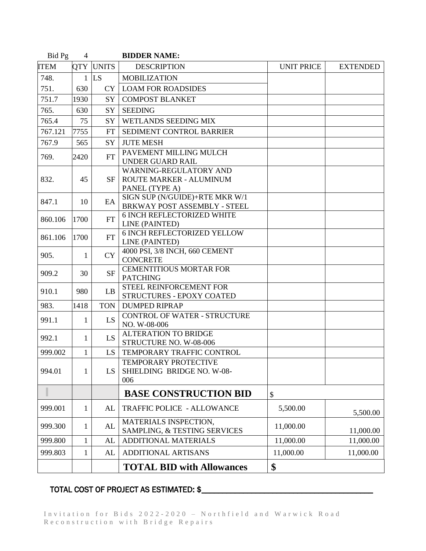| Bid Pg      | $\overline{4}$ |            | <b>BIDDER NAME:</b>                                                 |                   |                 |
|-------------|----------------|------------|---------------------------------------------------------------------|-------------------|-----------------|
| <b>ITEM</b> |                | QTY UNITS  | <b>DESCRIPTION</b>                                                  | <b>UNIT PRICE</b> | <b>EXTENDED</b> |
| 748.        | $\mathbf{1}$   | <b>LS</b>  | <b>MOBILIZATION</b>                                                 |                   |                 |
| 751.        | 630            | <b>CY</b>  | <b>LOAM FOR ROADSIDES</b>                                           |                   |                 |
| 751.7       | 1930           | SY         | <b>COMPOST BLANKET</b>                                              |                   |                 |
| 765.        | 630            | SY         | <b>SEEDING</b>                                                      |                   |                 |
| 765.4       | 75             | SY         | <b>WETLANDS SEEDING MIX</b>                                         |                   |                 |
| 767.121     | 7755           | <b>FT</b>  | SEDIMENT CONTROL BARRIER                                            |                   |                 |
| 767.9       | 565            | SY         | <b>JUTE MESH</b>                                                    |                   |                 |
| 769.        | 2420           | <b>FT</b>  | PAVEMENT MILLING MULCH<br><b>UNDER GUARD RAIL</b>                   |                   |                 |
| 832.        | 45             | SF         | WARNING-REGULATORY AND<br>ROUTE MARKER - ALUMINUM<br>PANEL (TYPE A) |                   |                 |
| 847.1       | 10             | EA         | SIGN SUP (N/GUIDE)+RTE MKR W/1<br>BRKWAY POST ASSEMBLY - STEEL      |                   |                 |
| 860.106     | 1700           | FT         | <b>6 INCH REFLECTORIZED WHITE</b><br>LINE (PAINTED)                 |                   |                 |
| 861.106     | 1700           | FT         | <b>6 INCH REFLECTORIZED YELLOW</b><br>LINE (PAINTED)                |                   |                 |
| 905.        | 1              | <b>CY</b>  | 4000 PSI, 3/8 INCH, 660 CEMENT<br><b>CONCRETE</b>                   |                   |                 |
| 909.2       | 30             | <b>SF</b>  | <b>CEMENTITIOUS MORTAR FOR</b><br><b>PATCHING</b>                   |                   |                 |
| 910.1       | 980            | LB         | STEEL REINFORCEMENT FOR<br>STRUCTURES - EPOXY COATED                |                   |                 |
| 983.        | 1418           | <b>TON</b> | <b>DUMPED RIPRAP</b>                                                |                   |                 |
| 991.1       | 1              | LS         | <b>CONTROL OF WATER - STRUCTURE</b><br>NO. W-08-006                 |                   |                 |
| 992.1       | $\mathbf{1}$   | LS         | <b>ALTERATION TO BRIDGE</b><br>STRUCTURE NO. W-08-006               |                   |                 |
| 999.002     | $\mathbf{1}$   | <b>LS</b>  | TEMPORARY TRAFFIC CONTROL                                           |                   |                 |
| 994.01      | 1              | LS         | <b>TEMPORARY PROTECTIVE</b><br>SHIELDING BRIDGE NO. W-08-<br>006    |                   |                 |
|             |                |            | <b>BASE CONSTRUCTION BID</b>                                        | \$                |                 |
| 999.001     | 1              | AL         | <b>TRAFFIC POLICE - ALLOWANCE</b>                                   | 5,500.00          | 5,500.00        |
| 999.300     | 1              | AL         | MATERIALS INSPECTION,<br>SAMPLING, & TESTING SERVICES               | 11,000.00         | 11,000.00       |
| 999.800     | 1              | AL         | <b>ADDITIONAL MATERIALS</b>                                         | 11,000.00         | 11,000.00       |
| 999.803     | 1              | AL         | <b>ADDITIONAL ARTISANS</b>                                          | 11,000.00         | 11,000.00       |
|             |                |            | <b>TOTAL BID with Allowances</b>                                    | \$                |                 |

### TOTAL COST OF PROJECT AS ESTIMATED: \$\_\_\_\_\_\_\_\_\_\_\_\_\_\_\_\_\_\_\_\_\_\_\_\_\_\_\_\_\_\_\_\_\_\_\_\_\_\_\_\_\_